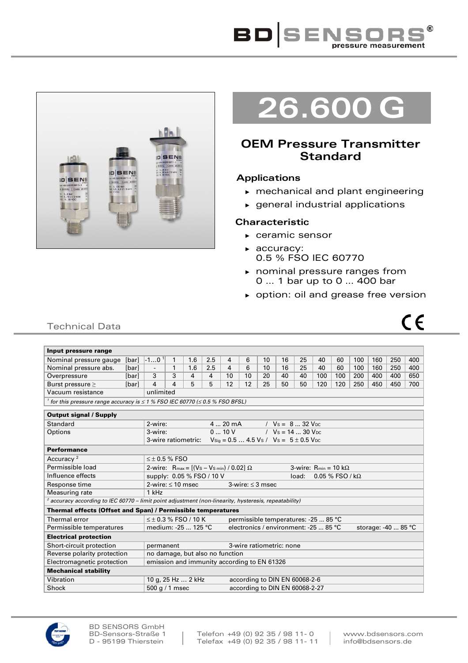



# **26.600 G**

# **OEM Pressure Transmitter Standard**

## **Applications**

- ► mechanical and plant engineering
- ► general industrial applications

## **Characteristic**

- ► ceramic sensor
- ► accuracy: 0.5 % FSO IEC 60770
- ► nominal pressure ranges from 0 … 1 bar up to 0 … 400 bar
- ► option: oil and grease free version



# Technical Data

| Input pressure range                                                                                            |                                                                   |                                                                                                               | 1                                                       |     |     |    |    |                                |    |    |     |     |     |     |     |     |
|-----------------------------------------------------------------------------------------------------------------|-------------------------------------------------------------------|---------------------------------------------------------------------------------------------------------------|---------------------------------------------------------|-----|-----|----|----|--------------------------------|----|----|-----|-----|-----|-----|-----|-----|
| Nominal pressure gauge                                                                                          | [bar]                                                             | $-101$                                                                                                        | 1.6                                                     | 2.5 | 4   | 6  | 10 | 16                             | 25 | 40 | 60  | 100 | 160 | 250 | 400 |     |
| Nominal pressure abs.                                                                                           | [bar]                                                             | $\overline{\phantom{a}}$                                                                                      | 1                                                       | 1.6 | 2.5 | 4  | 6  | 10                             | 16 | 25 | 40  | 60  | 100 | 160 | 250 | 400 |
| Overpressure                                                                                                    | [bar]                                                             | 3                                                                                                             | 3                                                       | 4   | 4   | 10 | 10 | 20                             | 40 | 40 | 100 | 100 | 200 | 400 | 400 | 650 |
| Burst pressure $\geq$                                                                                           | [bar]                                                             | 4                                                                                                             | 4                                                       | 5   | 5   | 12 | 12 | 25                             | 50 | 50 | 120 | 120 | 250 | 450 | 450 | 700 |
| Vacuum resistance                                                                                               |                                                                   | unlimited                                                                                                     |                                                         |     |     |    |    |                                |    |    |     |     |     |     |     |     |
| <sup>1</sup> for this pressure range accuracy is $\leq$ 1 % FSO IEC 60770 ( $\leq$ 0.5 % FSO BFSL)              |                                                                   |                                                                                                               |                                                         |     |     |    |    |                                |    |    |     |     |     |     |     |     |
| <b>Output signal / Supply</b>                                                                                   |                                                                   |                                                                                                               |                                                         |     |     |    |    |                                |    |    |     |     |     |     |     |     |
| Standard                                                                                                        | 2-wire:<br>$420 \text{ mA}$<br>/ $V_s = 832 V_{DC}$               |                                                                                                               |                                                         |     |     |    |    |                                |    |    |     |     |     |     |     |     |
| Options                                                                                                         |                                                                   | 010V<br>/ $V_s = 14$ 30 $V_{DC}$<br>3-wire:                                                                   |                                                         |     |     |    |    |                                |    |    |     |     |     |     |     |     |
|                                                                                                                 |                                                                   | $V_{\text{Sig}} = 0.5  4.5 V_{\text{S}} / V_{\text{S}} = 5 \pm 0.5 V_{\text{DC}}$<br>3-wire ratiometric:      |                                                         |     |     |    |    |                                |    |    |     |     |     |     |     |     |
| <b>Performance</b>                                                                                              |                                                                   |                                                                                                               |                                                         |     |     |    |    |                                |    |    |     |     |     |     |     |     |
| Accuracy <sup>2</sup>                                                                                           |                                                                   | $\leq \pm 0.5$ % FSO                                                                                          |                                                         |     |     |    |    |                                |    |    |     |     |     |     |     |     |
| Permissible load                                                                                                |                                                                   | 2-wire: R <sub>max</sub> = [(V <sub>S</sub> – V <sub>Smin</sub> ) / 0.02] Ω<br>3-wire: $R_{min} = 10 k\Omega$ |                                                         |     |     |    |    |                                |    |    |     |     |     |     |     |     |
| Influence effects                                                                                               |                                                                   |                                                                                                               | supply: 0.05 % FSO / 10 V<br>$0.05 %$ FSO / kΩ<br>load: |     |     |    |    |                                |    |    |     |     |     |     |     |     |
| Response time                                                                                                   |                                                                   | 2-wire: $\leq 10$ msec                                                                                        |                                                         |     |     |    |    | 3-wire: $\leq$ 3 msec          |    |    |     |     |     |     |     |     |
| Measuring rate                                                                                                  | 1 kHz                                                             |                                                                                                               |                                                         |     |     |    |    |                                |    |    |     |     |     |     |     |     |
| $^2$ accuracy according to IEC 60770 – limit point adjustment (non-linearity, hysteresis, repeatability)        |                                                                   |                                                                                                               |                                                         |     |     |    |    |                                |    |    |     |     |     |     |     |     |
| Thermal effects (Offset and Span) / Permissible temperatures                                                    |                                                                   |                                                                                                               |                                                         |     |     |    |    |                                |    |    |     |     |     |     |     |     |
| Thermal error                                                                                                   | $\leq$ + 0.3 % FSO / 10 K<br>permissible temperatures: -25  85 °C |                                                                                                               |                                                         |     |     |    |    |                                |    |    |     |     |     |     |     |     |
| electronics / environment: -25  85 °C<br>medium: -25  125 °C<br>storage: -40  85 °C<br>Permissible temperatures |                                                                   |                                                                                                               |                                                         |     |     |    |    |                                |    |    |     |     |     |     |     |     |
| <b>Electrical protection</b>                                                                                    |                                                                   |                                                                                                               |                                                         |     |     |    |    |                                |    |    |     |     |     |     |     |     |
| Short-circuit protection                                                                                        |                                                                   | 3-wire ratiometric: none<br>permanent                                                                         |                                                         |     |     |    |    |                                |    |    |     |     |     |     |     |     |
| Reverse polarity protection                                                                                     |                                                                   | no damage, but also no function                                                                               |                                                         |     |     |    |    |                                |    |    |     |     |     |     |     |     |
| Electromagnetic protection<br>emission and immunity according to EN 61326                                       |                                                                   |                                                                                                               |                                                         |     |     |    |    |                                |    |    |     |     |     |     |     |     |
| <b>Mechanical stability</b>                                                                                     |                                                                   |                                                                                                               |                                                         |     |     |    |    |                                |    |    |     |     |     |     |     |     |
| Vibration                                                                                                       |                                                                   | 10 g, 25 Hz  2 kHz                                                                                            |                                                         |     |     |    |    | according to DIN EN 60068-2-6  |    |    |     |     |     |     |     |     |
| Shock                                                                                                           |                                                                   | 500 g / 1 msec                                                                                                |                                                         |     |     |    |    | according to DIN EN 60068-2-27 |    |    |     |     |     |     |     |     |

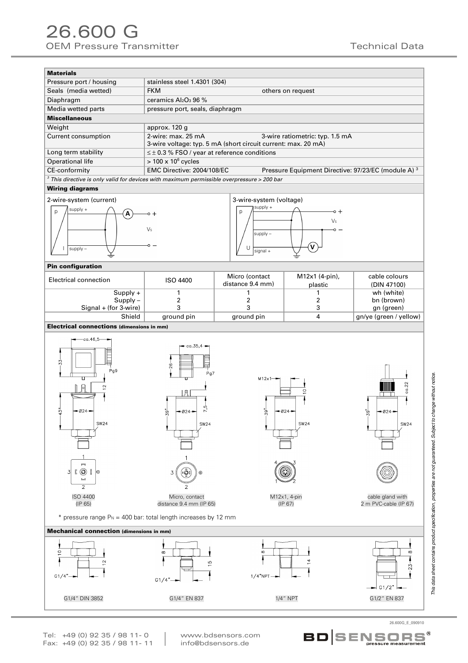| <b>Materials</b>                                                                             |                                                               |                                                                |  |  |  |  |  |  |
|----------------------------------------------------------------------------------------------|---------------------------------------------------------------|----------------------------------------------------------------|--|--|--|--|--|--|
| Pressure port / housing                                                                      | stainless steel 1.4301 (304)                                  |                                                                |  |  |  |  |  |  |
| Seals (media wetted)                                                                         | <b>FKM</b>                                                    | others on request                                              |  |  |  |  |  |  |
| Diaphragm                                                                                    | ceramics Al <sub>2</sub> O <sub>3</sub> 96 %                  |                                                                |  |  |  |  |  |  |
| Media wetted parts                                                                           | pressure port, seals, diaphragm                               |                                                                |  |  |  |  |  |  |
| <b>Miscellaneous</b>                                                                         |                                                               |                                                                |  |  |  |  |  |  |
| Weight                                                                                       | approx. 120 g                                                 |                                                                |  |  |  |  |  |  |
| Current consumption                                                                          | 2-wire: max. 25 mA                                            | 3-wire ratiometric: typ. 1.5 mA                                |  |  |  |  |  |  |
|                                                                                              | 3-wire voltage: typ. 5 mA (short circuit current: max. 20 mA) |                                                                |  |  |  |  |  |  |
| Long term stability                                                                          | $\leq \pm 0.3$ % FSO / year at reference conditions           |                                                                |  |  |  |  |  |  |
| Operational life                                                                             | $> 100 \times 10^6$ cycles                                    |                                                                |  |  |  |  |  |  |
| CE-conformity                                                                                | EMC Directive: 2004/108/EC                                    | Pressure Equipment Directive: 97/23/EC (module A) <sup>3</sup> |  |  |  |  |  |  |
| $3$ This directive is only valid for devices with maximum permissible overpressure > 200 bar |                                                               |                                                                |  |  |  |  |  |  |
|                                                                                              |                                                               |                                                                |  |  |  |  |  |  |

### Wiring diagrams





#### Pin configuration

| Electrical connection   | ISO 4400   | Micro (contact<br>distance 9.4 mm) | M12x1 (4-pin),<br>plastic | cable colours<br>(DIN 47100) |
|-------------------------|------------|------------------------------------|---------------------------|------------------------------|
| $Supply +$              |            |                                    |                           | wh (white)                   |
| $Supply -$              |            |                                    |                           | bn (brown)                   |
| $Signal + (for 3-wire)$ |            |                                    |                           | gn (green)                   |
| Shield                  | ground pin | ground pin                         |                           | gn/ye (green / yellow)       |

#### Electrical connections (dimensions in mm)



 $1/4"$ NPT $\rightarrow$ G1/4" DIN 3852 G1/4" EN 837 G1/4" EN 837 G1/2" EN 837 G1/2" EN 837 This data sheet contains product specification, properties are not guaranteed. Subject to change without notice. This data sheet contains product specification, properties are not guaranteed. Subject to change without notice.

Tel: +49 (0) 92 35 / 98 11- 0 www.bdsensors.com<br>Fax: +49 (0) 92 35 / 98 11- 11 info@bdsensors.de Fax: +49 (0) 92 35 / 98 11- 11

 $G1/4"$ 

 $G1/4$ <sup>"</sup> $\rightarrow$ 



26.600G\_E\_090910

 $\Box$ 

| G1/2" ⊦